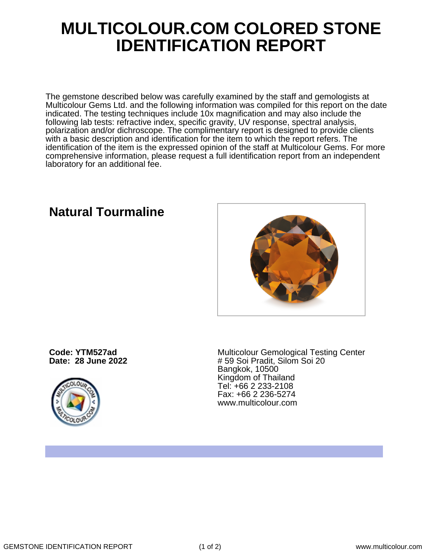## **MULTICOLOUR.COM COLORED STONE IDENTIFICATION REPORT**

The gemstone described below was carefully examined by the staff and gemologists at Multicolour Gems Ltd. and the following information was compiled for this report on the date indicated. The testing techniques include 10x magnification and may also include the following lab tests: refractive index, specific gravity, UV response, spectral analysis, polarization and/or dichroscope. The complimentary report is designed to provide clients with a basic description and identification for the item to which the report refers. The identification of the item is the expressed opinion of the staff at Multicolour Gems. For more comprehensive information, please request a full identification report from an independent laboratory for an additional fee.

**Natural Tourmaline**

**Code: YTM527ad Date: 28 June 2022**



Multicolour Gemological Testing Center # 59 Soi Pradit, Silom Soi 20 Bangkok, 10500 Kingdom of Thailand Tel: +66 2 233-2108 Fax: +66 2 236-5274 www.multicolour.com